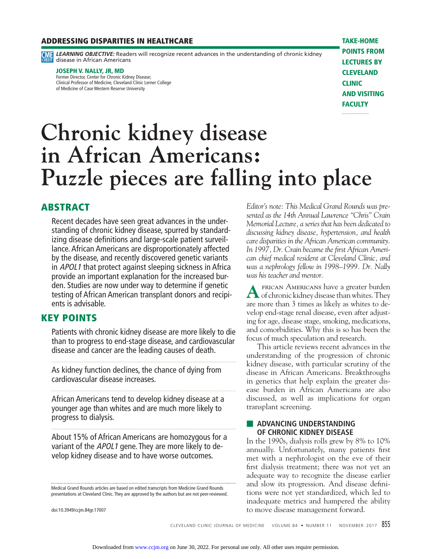#### **ADDRESSING DISPARITIES IN HEALTHCARE**

**CMP LEARNING OBJECTIVE:** Readers will recognize recent advances in the understanding of chronic kidney disease in African Americans

#### **JOSEPH V. NALLY, JR, MD**

Former Director, Center for Chronic Kidney Disease; Clinical Professor of Medicine, Cleveland Clinic Lerner College of Medicine of Case Western Reserve University

**TAKE-HOME POINTS FROM LECTURES BY CLEVELAND CLINIC AND VISITING FACULTY** . . . . . . . . . . . . . . . . . .

# **Chronic kidney disease in African Americans: Puzzle pieces are falling into place**

# **ABSTRACT**

Recent decades have seen great advances in the understanding of chronic kidney disease, spurred by standardizing disease definitions and large-scale patient surveillance. African Americans are disproportionately affected by the disease, and recently discovered genetic variants in APOL1 that protect against sleeping sickness in Africa provide an important explanation for the increased burden. Studies are now under way to determine if genetic testing of African American transplant donors and recipients is advisable.

# **KEY POINTS**

Patients with chronic kidney disease are more likely to die than to progress to end-stage disease, and cardiovascular disease and cancer are the leading causes of death.

As kidney function declines, the chance of dying from cardiovascular disease increases.

African Americans tend to develop kidney disease at a younger age than whites and are much more likely to progress to dialysis.

About 15% of African Americans are homozygous for a variant of the APOL1 gene. They are more likely to develop kidney disease and to have worse outcomes.

Medical Grand Rounds articles are based on edited transcripts from Medicine Grand Rounds presentations at Cleveland Clinic. They are approved by the authors but are not peer-reviewed.

doi:10.3949/ccjm.84gr.17007

*Editor's note: This Medical Grand Rounds was presented as the 14th Annual Lawrence "Chris" Crain Memorial Lecture, a series that has been dedicated to discussing kidney disease, hypertension, and health care disparities in the African American community.*  In 1997, Dr. Crain became the first African Ameri*can chief medical resident at Cleveland Clinic, and was a nephrology fellow in 1998–1999. Dr. Nally was his teacher and mentor.*

A FRICAN AMERICANS have a greater burden<br>of chronic kidney disease than whites. They are more than 3 times as likely as whites to develop end-stage renal disease, even after adjusting for age, disease stage, smoking, medications, and comorbidities. Why this is so has been the focus of much speculation and research.

 This article reviews recent advances in the understanding of the progression of chronic kidney disease, with particular scrutiny of the disease in African Americans. Breakthroughs in genetics that help explain the greater disease burden in African Americans are also discussed, as well as implications for organ transplant screening.

## ■ **ADVANCING UNDERSTANDING OF CHRONIC KIDNEY DISEASE**

In the 1990s, dialysis rolls grew by 8% to 10% annually. Unfortunately, many patients first met with a nephrologist on the eve of their first dialysis treatment; there was not yet an adequate way to recognize the disease earlier and slow its progression. And disease definitions were not yet standardized, which led to inadequate metrics and hampered the ability to move disease management forward.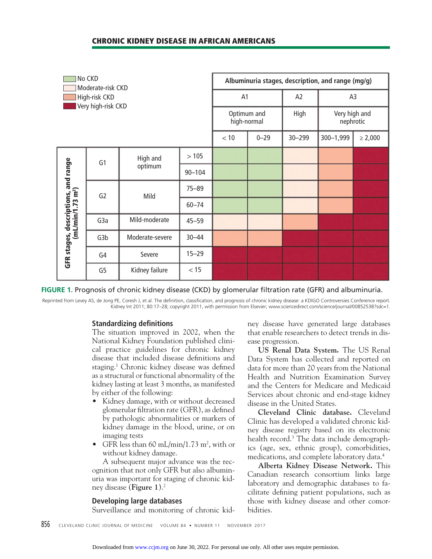## **CHRONIC KIDNEY DISEASE IN AFRICAN AMERICANS**

| No CKD<br>Moderate-risk CKD<br>High-risk CKD<br>Very high-risk CKD   |                  |                     |            | Albuminuria stages, description, and range (mg/g) |          |                |                            |              |  |
|----------------------------------------------------------------------|------------------|---------------------|------------|---------------------------------------------------|----------|----------------|----------------------------|--------------|--|
|                                                                      |                  |                     |            | A1                                                |          | A <sub>2</sub> | A <sub>3</sub>             |              |  |
|                                                                      |                  |                     |            | Optimum and<br>high-normal                        |          | High           | Very high and<br>nephrotic |              |  |
|                                                                      |                  |                     |            | $<10$                                             | $0 - 29$ | $30 - 299$     | 300-1,999                  | $\geq 2,000$ |  |
| GFR stages, descriptions, and range<br>(mL/min/1.73 m <sup>2</sup> ) | G1               | High and<br>optimum | >105       |                                                   |          |                |                            |              |  |
|                                                                      |                  |                     | $90 - 104$ |                                                   |          |                |                            |              |  |
|                                                                      | G <sub>2</sub>   | Mild                | $75 - 89$  |                                                   |          |                |                            |              |  |
|                                                                      |                  |                     | $60 - 74$  |                                                   |          |                |                            |              |  |
|                                                                      | G <sub>3</sub> a | Mild-moderate       | $45 - 59$  |                                                   |          |                |                            |              |  |
|                                                                      | G3b              | Moderate-severe     | $30 - 44$  |                                                   |          |                |                            |              |  |
|                                                                      | G4               | Severe              | $15 - 29$  |                                                   |          |                |                            |              |  |
|                                                                      | G <sub>5</sub>   | Kidney failure      | < 15       |                                                   |          |                |                            |              |  |

**FIGURE 1.** Prognosis of chronic kidney disease (CKD) by glomerular fi ltration rate (GFR) and albuminuria.

Reprinted from Levey AS, de Jong PE, Coresh J, et al. The definition, classification, and prognosis of chronic kidney disease: a KDIGO Controversies Conference report. Kidney Int 2011; 80:17–28; copyright 2011, with permission from Elsevier; www.sciencedirect.com/science/journal/00852538?sdc=1.

## **Standardizing definitions**

The situation improved in 2002, when the National Kidney Foundation published clinical practice guidelines for chronic kidney disease that included disease definitions and staging.<sup>1</sup> Chronic kidney disease was defined as a structural or functional abnormality of the kidney lasting at least 3 months, as manifested by either of the following:

- Kidney damage, with or without decreased glomerular filtration rate (GFR), as defined by pathologic abnormalities or markers of kidney damage in the blood, urine, or on imaging tests
- GFR less than 60 mL/min/1.73 m<sup>2</sup>, with or without kidney damage.

 A subsequent major advance was the recognition that not only GFR but also albuminuria was important for staging of chronic kidney disease (**Figure 1**).2

## **Developing large databases**

Surveillance and monitoring of chronic kid-

ney disease have generated large databases that enable researchers to detect trends in disease progression.

**US Renal Data System.** The US Renal Data System has collected and reported on data for more than 20 years from the National Health and Nutrition Examination Survey and the Centers for Medicare and Medicaid Services about chronic and end-stage kidney disease in the United States.

**Cleveland Clinic database.** Cleveland Clinic has developed a validated chronic kidney disease registry based on its electronic health record.3 The data include demographics (age, sex, ethnic group), comorbidities, medications, and complete laboratory data.4

**Alberta Kidney Disease Network.** This Canadian research consortium links large laboratory and demographic databases to facilitate defining patient populations, such as those with kidney disease and other comorbidities.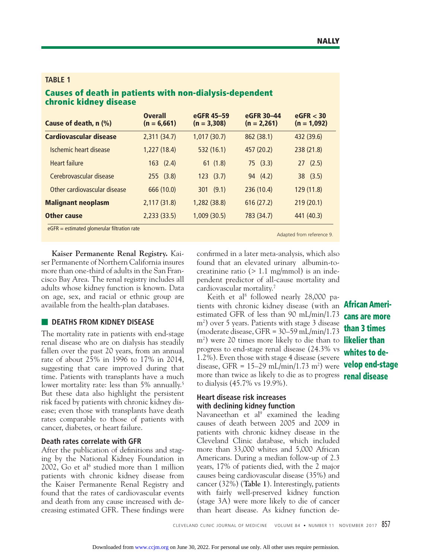#### **TABLE 1**

# **Causes of death in patients with non-dialysis-dependent chronic kidney disease**

| Cause of death, n (%)         | <b>Overall</b><br>$(n = 6,661)$ | eGFR 45-59<br>$(n = 3,308)$ | eGFR 30-44<br>$(n = 2,261)$ | eGFR < 30<br>$(n = 1,092)$ |
|-------------------------------|---------------------------------|-----------------------------|-----------------------------|----------------------------|
| <b>Cardiovascular disease</b> | 2,311(34.7)                     | 1,017(30.7)                 | 862 (38.1)                  | 432 (39.6)                 |
| Ischemic heart disease        | 1,227(18.4)                     | 532 (16.1)                  | 457 (20.2)                  | 238 (21.8)                 |
| <b>Heart failure</b>          | $163$ $(2.4)$                   | 61(1.8)                     | 75(3.3)                     | 27(2.5)                    |
| Cerebrovascular disease       | 255(3.8)                        | 123(3.7)                    | 94 (4.2)                    | 38(3.5)                    |
| Other cardiovascular disease  | 666 (10.0)                      | (9.1)<br>301                | 236(10.4)                   | 129 (11.8)                 |
| <b>Malignant neoplasm</b>     | 2,117 (31.8)                    | 1,282 (38.8)                | 616(27.2)                   | 219(20.1)                  |
| <b>Other cause</b>            | 2,233(33.5)                     | 1,009(30.5)                 | 783 (34.7)                  | 441 (40.3)                 |

 $eGFR =$  estimated glomerular filtration rate

Adapted from reference 9.

**Kaiser Permanente Renal Registry.** Kaiser Permanente of Northern California insures more than one-third of adults in the San Francisco Bay Area. The renal registry includes all adults whose kidney function is known. Data on age, sex, and racial or ethnic group are available from the health-plan databases.

## **B** DEATHS FROM KIDNEY DISEASE

The mortality rate in patients with end-stage renal disease who are on dialysis has steadily fallen over the past 20 years, from an annual rate of about 25% in 1996 to 17% in 2014, suggesting that care improved during that time. Patients with transplants have a much lower mortality rate: less than 5% annually. 5 But these data also highlight the persistent risk faced by patients with chronic kidney disease; even those with transplants have death rates comparable to those of patients with cancer, diabetes, or heart failure.

## **Death rates correlate with GFR**

After the publication of definitions and staging by the National Kidney Foundation in 2002, Go et al<sup>6</sup> studied more than 1 million patients with chronic kidney disease from the Kaiser Permanente Renal Registry and found that the rates of cardiovascular events and death from any cause increased with decreasing estimated GFR. These findings were

confirmed in a later meta-analysis, which also found that an elevated urinary albumin-tocreatinine ratio (> 1.1 mg/mmol) is an independent predictor of all-cause mortality and cardiovascular mortality.7

Keith et al<sup>8</sup> followed nearly 28,000 patients with chronic kidney disease (with an **African Ameri**estimated GFR of less than 90 mL/min/1.73 m2 ) over 5 years. Patients with stage 3 disease (moderate disease, GFR = 30–59 mL/min/1.73 m2 ) were 20 times more likely to die than to **likelier than**  progress to end-stage renal disease (24.3% vs 1.2%). Even those with stage 4 disease (severe disease, GFR = 15–29 mL/min/1.73 m2 ) were **velop end-stage**  more than twice as likely to die as to progress **renal disease** to dialysis (45.7% vs 19.9%).

## **Heart disease risk increases with declining kidney function**

Navaneethan et al<sup>9</sup> examined the leading causes of death between 2005 and 2009 in patients with chronic kidney disease in the Cleveland Clinic database, which included more than 33,000 whites and 5,000 African Americans. During a median follow-up of 2.3 years, 17% of patients died, with the 2 major causes being cardiovascular disease (35%) and cancer (32%) (**Table 1**). Interestingly, patients with fairly well-preserved kidney function (stage 3A) were more likely to die of cancer than heart disease. As kidney function de-

**cans are more than 3 times whites to de-**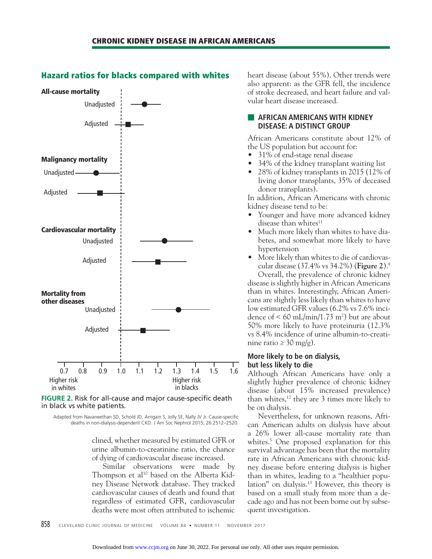

#### **Hazard ratios for blacks compared with whites**

**FIGURE 2.** Risk for all-cause and major cause-specific death in black vs white patients.

Adapted from Navaneethan SD, Schold JD, Arrigain S, Jolly SE, Nally JV Jr. Cause-specific deaths in non-dialysis-dependent CKD. J Am Soc Nephrol 2015; 26:2512–2520.

> clined, whether measured by estimated GFR or urine albumin-to-creatinine ratio, the chance of dying of cardiovascular disease increased.

> Similar observations were made by Thompson et al<sup>10</sup> based on the Alberta Kidney Disease Network database. They tracked cardiovascular causes of death and found that regardless of estimated GFR, cardiovascular deaths were most often attributed to ischemic

heart disease (about 55%). Other trends were also apparent: as the GFR fell, the incidence of stroke decreased, and heart failure and valvular heart disease increased.

#### ■ **AFRICAN AMERICANS WITH KIDNEY DISEASE: A DISTINCT GROUP**

African Americans constitute about 12% of the US population but account for:

- 31% of end-stage renal disease
- 34% of the kidney transplant waiting list
- 28% of kidney transplants in 2015 (12% of living donor transplants, 35% of deceased donor transplants).

In addition, African Americans with chronic kidney disease tend to be:

- Younger and have more advanced kidney disease than whites $11$
- Much more likely than whites to have diabetes, and somewhat more likely to have hypertension
- More likely than whites to die of cardiovascular disease (37.4% vs 34.2%) (**Figure 2**).9

 Overall, the prevalence of chronic kidney disease is slightly higher in African Americans than in whites. Interestingly, African Americans are slightly less likely than whites to have low estimated GFR values (6.2% vs 7.6% incidence of  $\leq 60 \text{ mL/min}/1.73 \text{ m}^2$ ) but are about 50% more likely to have proteinuria (12.3% vs 8.4% incidence of urine albumin-to-creatinine ratio ≥ 30 mg/g).

## **More likely to be on dialysis, but less likely to die**

Although African Americans have only a slightly higher prevalence of chronic kidney disease (about 15% increased prevalence) than whites, $12$  they are 3 times more likely to be on dialysis.

 Nevertheless, for unknown reasons, African American adults on dialysis have about a 26% lower all-cause mortality rate than whites.5 One proposed explanation for this survival advantage has been that the mortality rate in African Americans with chronic kidney disease before entering dialysis is higher than in whites, leading to a "healthier population" on dialysis.13 However, this theory is based on a small study from more than a decade ago and has not been borne out by subsequent investigation.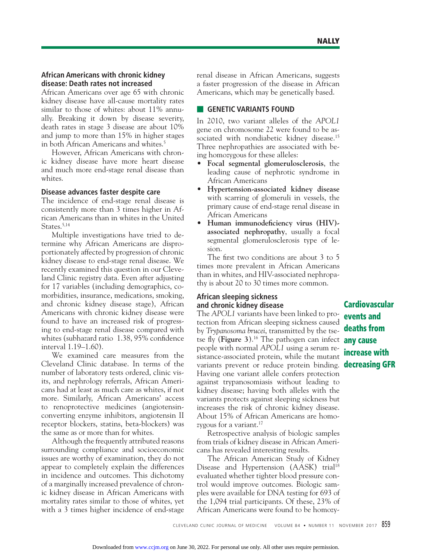#### **African Americans with chronic kidney disease: Death rates not increased**

African Americans over age 65 with chronic kidney disease have all-cause mortality rates similar to those of whites: about 11% annually. Breaking it down by disease severity, death rates in stage 3 disease are about 10% and jump to more than 15% in higher stages in both African Americans and whites.<sup>5</sup>

 However, African Americans with chronic kidney disease have more heart disease and much more end-stage renal disease than whites.

#### **Disease advances faster despite care**

The incidence of end-stage renal disease is consistently more than 3 times higher in African Americans than in whites in the United States.<sup>5,14</sup>

 Multiple investigations have tried to determine why African Americans are disproportionately affected by progression of chronic kidney disease to end-stage renal disease. We recently examined this question in our Cleveland Clinic registry data. Even after adjusting for 17 variables (including demographics, comorbidities, insurance, medications, smoking, and chronic kidney disease stage), African Americans with chronic kidney disease were found to have an increased risk of progressing to end-stage renal disease compared with whites (subhazard ratio 1.38, 95% confidence interval 1.19–1.60).

 We examined care measures from the Cleveland Clinic database. In terms of the number of laboratory tests ordered, clinic visits, and nephrology referrals, African Americans had at least as much care as whites, if not more. Similarly, African Americans' access to renoprotective medicines (angiotensinconverting enzyme inhibitors, angiotensin II receptor blockers, statins, beta-blockers) was the same as or more than for whites.

 Although the frequently attributed reasons surrounding compliance and socioeconomic issues are worthy of examination, they do not appear to completely explain the differences in incidence and outcomes. This dichotomy of a marginally increased prevalence of chronic kidney disease in African Americans with mortality rates similar to those of whites, yet with a 3 times higher incidence of end-stage

renal disease in African Americans, suggests a faster progression of the disease in African Americans, which may be genetically based.

## **■ GENETIC VARIANTS FOUND**

In 2010, two variant alleles of the *APOL1*  gene on chromosome 22 were found to be associated with nondiabetic kidney disease.<sup>15</sup> Three nephropathies are associated with being homozygous for these alleles:

- **Focal segmental glomerulosclerosis**, the leading cause of nephrotic syndrome in African Americans
- **Hypertension-associated kidney disease**  with scarring of glomeruli in vessels, the primary cause of end-stage renal disease in African Americans
- **Human immunodeficiency virus (HIV)associated nephropathy**, usually a focal segmental glomerulosclerosis type of lesion.

The first two conditions are about  $3$  to  $5$ times more prevalent in African Americans than in whites, and HIV-associated nephropathy is about 20 to 30 times more common.

## **African sleeping sickness and chronic kidney disease**

The *APOL1* variants have been linked to protection from African sleeping sickness caused by *Trypanosoma brucei*, transmitted by the tsetse fly (Figure 3).<sup>16</sup> The pathogen can infect **any cause** people with normal *APOL1* using a serum resistance-associated protein, while the mutant variants prevent or reduce protein binding. **decreasing GFR** Having one variant allele confers protection against trypanosomiasis without leading to kidney disease; having both alleles with the variants protects against sleeping sickness but increases the risk of chronic kidney disease. About 15% of African Americans are homozygous for a variant.<sup>17</sup>

 Retrospective analysis of biologic samples from trials of kidney disease in African Americans has revealed interesting results.

 The African American Study of Kidney Disease and Hypertension (AASK) trial<sup>18</sup> evaluated whether tighter blood pressure control would improve outcomes. Biologic samples were available for DNA testing for 693 of the 1,094 trial participants. Of these, 23% of African Americans were found to be homozy-

**Cardiovascular events and deaths from increase with**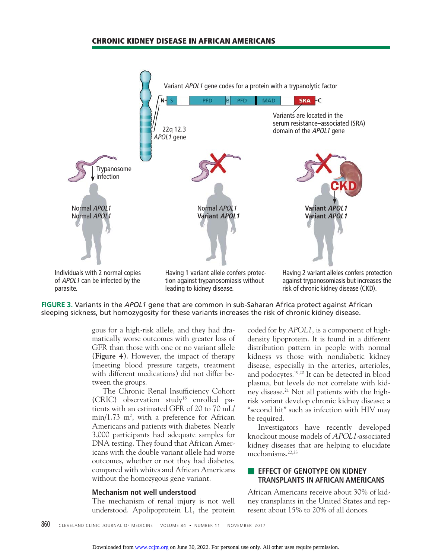#### **CHRONIC KIDNEY DISEASE IN AFRICAN AMERICANS**





gous for a high-risk allele, and they had dramatically worse outcomes with greater loss of GFR than those with one or no variant allele (**Figure 4**). However, the impact of therapy (meeting blood pressure targets, treatment with different medications) did not differ between the groups.

The Chronic Renal Insufficiency Cohort (CRIC) observation study18 enrolled patients with an estimated GFR of 20 to 70 mL/ min/1.73 m<sup>2</sup>, with a preference for African Americans and patients with diabetes. Nearly 3,000 participants had adequate samples for DNA testing. They found that African Americans with the double variant allele had worse outcomes, whether or not they had diabetes, compared with whites and African Americans without the homozygous gene variant.

#### **Mechanism not well understood**

The mechanism of renal injury is not well understood. Apolipoprotein L1, the protein coded for by *APOL1*, is a component of highdensity lipoprotein. It is found in a different distribution pattern in people with normal kidneys vs those with nondiabetic kidney disease, especially in the arteries, arterioles, and podocytes.19,20 It can be detected in blood plasma, but levels do not correlate with kidney disease.<sup>21</sup> Not all patients with the highrisk variant develop chronic kidney disease; a "second hit" such as infection with HIV may be required.

 Investigators have recently developed knockout mouse models of APOL1-associated kidney diseases that are helping to elucidate mechanisms.<sup>22,23</sup>

## **EFFECT OF GENOTYPE ON KIDNEY TRANSPLANTS IN AFRICAN AMERICANS**

African Americans receive about 30% of kidney transplants in the United States and represent about 15% to 20% of all donors.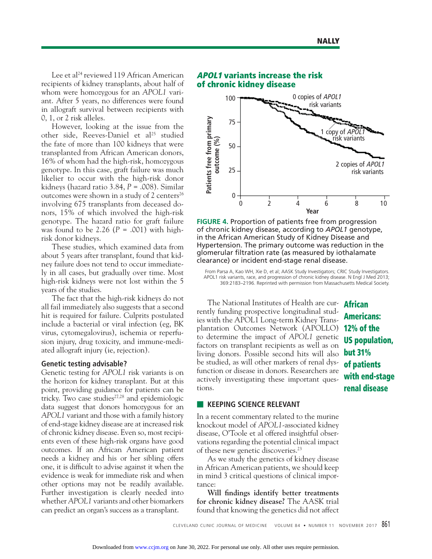Lee et al<sup>24</sup> reviewed 119 African American recipients of kidney transplants, about half of whom were homozygous for an *APOL1* variant. After 5 years, no differences were found in allograft survival between recipients with 0, 1, or 2 risk alleles.

 However, looking at the issue from the other side, Reeves-Daniel et al<sup>25</sup> studied the fate of more than 100 kidneys that were transplanted from African American donors, 16% of whom had the high-risk, homozygous genotype. In this case, graft failure was much likelier to occur with the high-risk donor kidneys (hazard ratio 3.84, *P* = .008). Similar outcomes were shown in a study of 2 centers<sup>26</sup> involving 675 transplants from deceased donors, 15% of which involved the high-risk genotype. The hazard ratio for graft failure was found to be 2.26  $(P = .001)$  with highrisk donor kidneys.

 These studies, which examined data from about 5 years after transplant, found that kidney failure does not tend to occur immediately in all cases, but gradually over time. Most high-risk kidneys were not lost within the 5 years of the studies.

 The fact that the high-risk kidneys do not all fail immediately also suggests that a second hit is required for failure. Culprits postulated include a bacterial or viral infection (eg, BK virus, cytomegalovirus), ischemia or reperfusion injury, drug toxicity, and immune-mediated allograft injury (ie, rejection).

#### **Genetic testing advisable?**

Genetic testing for *APOL1* risk variants is on the horizon for kidney transplant. But at this point, providing guidance for patients can be tricky. Two case studies $27,28$  and epidemiologic data suggest that donors homozygous for an *APOL1* variant and those with a family history of end-stage kidney disease are at increased risk of chronic kidney disease. Even so, most recipients even of these high-risk organs have good outcomes. If an African American patient needs a kidney and his or her sibling offers one, it is difficult to advise against it when the evidence is weak for immediate risk and when other options may not be readily available. Further investigation is clearly needed into whether *APOL1* variants and other biomarkers can predict an organ's success as a transplant.

# **APOL1 variants increase the risk of chronic kidney disease**



**FIGURE 4.** Proportion of patients free from progression of chronic kidney disease, according to *APOL1* genotype, in the African American Study of Kidney Disease and Hypertension. The primary outcome was reduction in the glomerular filtration rate (as measured by iothalamate clearance) or incident end-stage renal disease.

From Parsa A, Kao WH, Xie D, et al; AASK Study Investigators; CRIC Study Investigators. APOL1 risk variants, race, and progression of chronic kidney disease. N Engl J Med 2013; 369:2183–2196. Reprinted with permission from Massachusetts Medical Society.

 The National Institutes of Health are cur-**African**  rently funding prospective longitudinal studies with the APOL1 Long-term Kidney Transplantation Outcomes Network (APOLLO) **12% of the** to determine the impact of *APOL1* genetic factors on transplant recipients as well as on living donors. Possible second hits will also be studied, as will other markers of renal dysfunction or disease in donors. Researchers are actively investigating these important questions.

**Americans: US population, but 31% of patients with end-stage renal disease**

#### **EXECUTIVE SCIENCE RELEVANT**

In a recent commentary related to the murine knockout model of *APOL1*-associated kidney disease, O'Toole et al offered insightful observations regarding the potential clinical impact of these new genetic discoveries.23

 As we study the genetics of kidney disease in African American patients, we should keep in mind 3 critical questions of clinical importance:

**Will findings identify better treatments for chronic kidney disease?** The AASK trial found that knowing the genetics did not affect